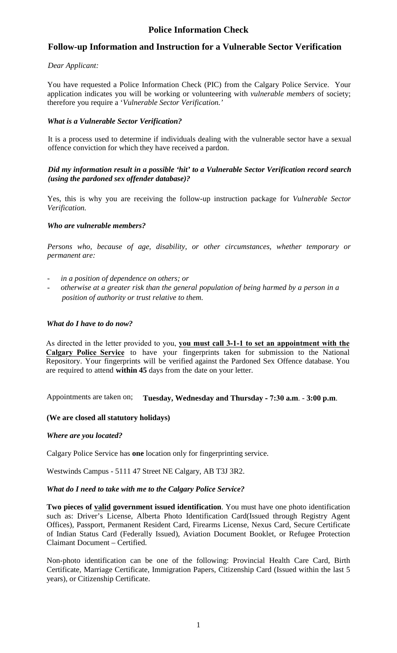# **Police Information Check**

## **Follow-up Information and Instruction for a Vulnerable Sector Verification**

## *Dear Applicant:*

You have requested a Police Information Check (PIC) from the Calgary Police Service. Your application indicates you will be working or volunteering with *vulnerable members* of society; therefore you require a '*Vulnerable Sector Verification.'*

## *What is a Vulnerable Sector Verification?*

It is a process used to determine if individuals dealing with the vulnerable sector have a sexual offence conviction for which they have received a pardon.

## *Did my information result in a possible 'hit' to a Vulnerable Sector Verification record search (using the pardoned sex offender database)?*

Yes, this is why you are receiving the follow-up instruction package for *Vulnerable Sector Verification.*

## *Who are vulnerable members?*

*Persons who, because of age, disability, or other circumstances, whether temporary or permanent are:* 

- - *in a position of dependence on others; or*
- *otherwise at a greater risk than the general population of being harmed by a person in a position of authority or trust relative to them.*

## *What do I have to do now?*

As directed in the letter provided to you, **you must call 3-1-1 to set an appointment with the Calgary Police Service** to have your fingerprints taken for submission to the National Repository. Your fingerprints will be verified against the Pardoned Sex Offence database. You are required to attend **within 45** days from the date on your letter.

Appointments are taken on; **Tuesday, Wednesday and Thursday - 7:30 a.m**. - **3:00 p.m**.

## **(We are closed all statutory holidays)**

## *Where are you located?*

Calgary Police Service has **one** location only for fingerprinting service.

Westwinds Campus - 5111 47 Street NE Calgary, AB T3J 3R2.

## *What do I need to take with me to the Calgary Police Service?*

**Two pieces of valid government issued identification**. You must have one photo identification such as: Driver's License, Alberta Photo Identification Card(Issued through Registry Agent Offices), Passport, Permanent Resident Card, Firearms License, Nexus Card, Secure Certificate of Indian Status Card (Federally Issued), Aviation Document Booklet, or Refugee Protection Claimant Document – Certified.

Non-photo identification can be one of the following: Provincial Health Care Card, Birth Certificate, Marriage Certificate, Immigration Papers, Citizenship Card (Issued within the last 5 years), or Citizenship Certificate.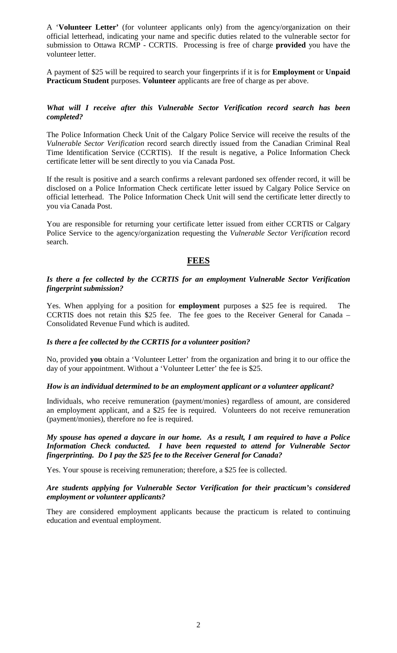A '**Volunteer Letter'** (for volunteer applicants only) from the agency/organization on their official letterhead, indicating your name and specific duties related to the vulnerable sector for submission to Ottawa RCMP - CCRTIS. Processing is free of charge **provided** you have the volunteer letter.

A payment of \$25 will be required to search your fingerprints if it is for **Employment** or **Unpaid Practicum Student** purposes. **Volunteer** applicants are free of charge as per above.

## *What will I receive after this Vulnerable Sector Verification record search has been completed?*

The Police Information Check Unit of the Calgary Police Service will receive the results of the *Vulnerable Sector Verification* record search directly issued from the Canadian Criminal Real Time Identification Service (CCRTIS). If the result is negative, a Police Information Check certificate letter will be sent directly to you via Canada Post.

If the result is positive and a search confirms a relevant pardoned sex offender record, it will be disclosed on a Police Information Check certificate letter issued by Calgary Police Service on official letterhead. The Police Information Check Unit will send the certificate letter directly to you via Canada Post.

You are responsible for returning your certificate letter issued from either CCRTIS or Calgary Police Service to the agency/organization requesting the *Vulnerable Sector Verification* record search.

## **FEES**

## *Is there a fee collected by the CCRTIS for an employment Vulnerable Sector Verification fingerprint submission?*

Yes. When applying for a position for **employment** purposes a \$25 fee is required. The CCRTIS does not retain this \$25 fee. The fee goes to the Receiver General for Canada – Consolidated Revenue Fund which is audited.

## *Is there a fee collected by the CCRTIS for a volunteer position?*

No, provided **you** obtain a 'Volunteer Letter' from the organization and bring it to our office the day of your appointment. Without a 'Volunteer Letter' the fee is \$25.

## *How is an individual determined to be an employment applicant or a volunteer applicant?*

Individuals, who receive remuneration (payment/monies) regardless of amount, are considered an employment applicant, and a \$25 fee is required. Volunteers do not receive remuneration (payment/monies), therefore no fee is required.

## *My spouse has opened a daycare in our home. As a result, I am required to have a Police Information Check conducted. I have been requested to attend for Vulnerable Sector fingerprinting. Do I pay the \$25 fee to the Receiver General for Canada?*

Yes. Your spouse is receiving remuneration; therefore, a \$25 fee is collected.

## *Are students applying for Vulnerable Sector Verification for their practicum's considered employment or volunteer applicants?*

They are considered employment applicants because the practicum is related to continuing education and eventual employment.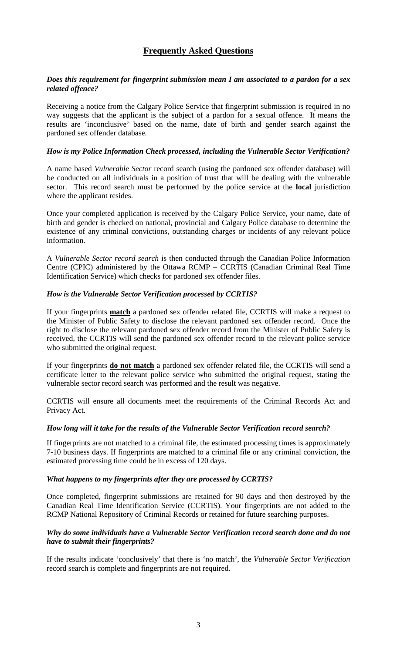# **Frequently Asked Questions**

## *Does this requirement for fingerprint submission mean I am associated to a pardon for a sex related offence?*

Receiving a notice from the Calgary Police Service that fingerprint submission is required in no way suggests that the applicant is the subject of a pardon for a sexual offence. It means the results are 'inconclusive' based on the name, date of birth and gender search against the pardoned sex offender database.

## *How is my Police Information Check processed, including the Vulnerable Sector Verification?*

A name based *Vulnerable Sector* record search (using the pardoned sex offender database) will be conducted on all individuals in a position of trust that will be dealing with the vulnerable sector. This record search must be performed by the police service at the **local** jurisdiction where the applicant resides.

Once your completed application is received by the Calgary Police Service, your name, date of birth and gender is checked on national, provincial and Calgary Police database to determine the existence of any criminal convictions, outstanding charges or incidents of any relevant police information.

A *Vulnerable Sector record search* is then conducted through the Canadian Police Information Centre (CPIC) administered by the Ottawa RCMP – CCRTIS (Canadian Criminal Real Time Identification Service) which checks for pardoned sex offender files.

## *How is the Vulnerable Sector Verification processed by CCRTIS?*

If your fingerprints **match** a pardoned sex offender related file, CCRTIS will make a request to the Minister of Public Safety to disclose the relevant pardoned sex offender record. Once the right to disclose the relevant pardoned sex offender record from the Minister of Public Safety is received, the CCRTIS will send the pardoned sex offender record to the relevant police service who submitted the original request.

If your fingerprints **do not match** a pardoned sex offender related file, the CCRTIS will send a certificate letter to the relevant police service who submitted the original request, stating the vulnerable sector record search was performed and the result was negative.

CCRTIS will ensure all documents meet the requirements of the Criminal Records Act and Privacy Act.

## *How long will it take for the results of the Vulnerable Sector Verification record search?*

If fingerprints are not matched to a criminal file, the estimated processing times is approximately 7-10 business days. If fingerprints are matched to a criminal file or any criminal conviction, the estimated processing time could be in excess of 120 days.

## *What happens to my fingerprints after they are processed by CCRTIS?*

Once completed, fingerprint submissions are retained for 90 days and then destroyed by the Canadian Real Time Identification Service (CCRTIS). Your fingerprints are not added to the RCMP National Repository of Criminal Records or retained for future searching purposes.

## *Why do some individuals have a Vulnerable Sector Verification record search done and do not have to submit their fingerprints?*

If the results indicate 'conclusively' that there is 'no match', the *Vulnerable Sector Verification* record search is complete and fingerprints are not required.